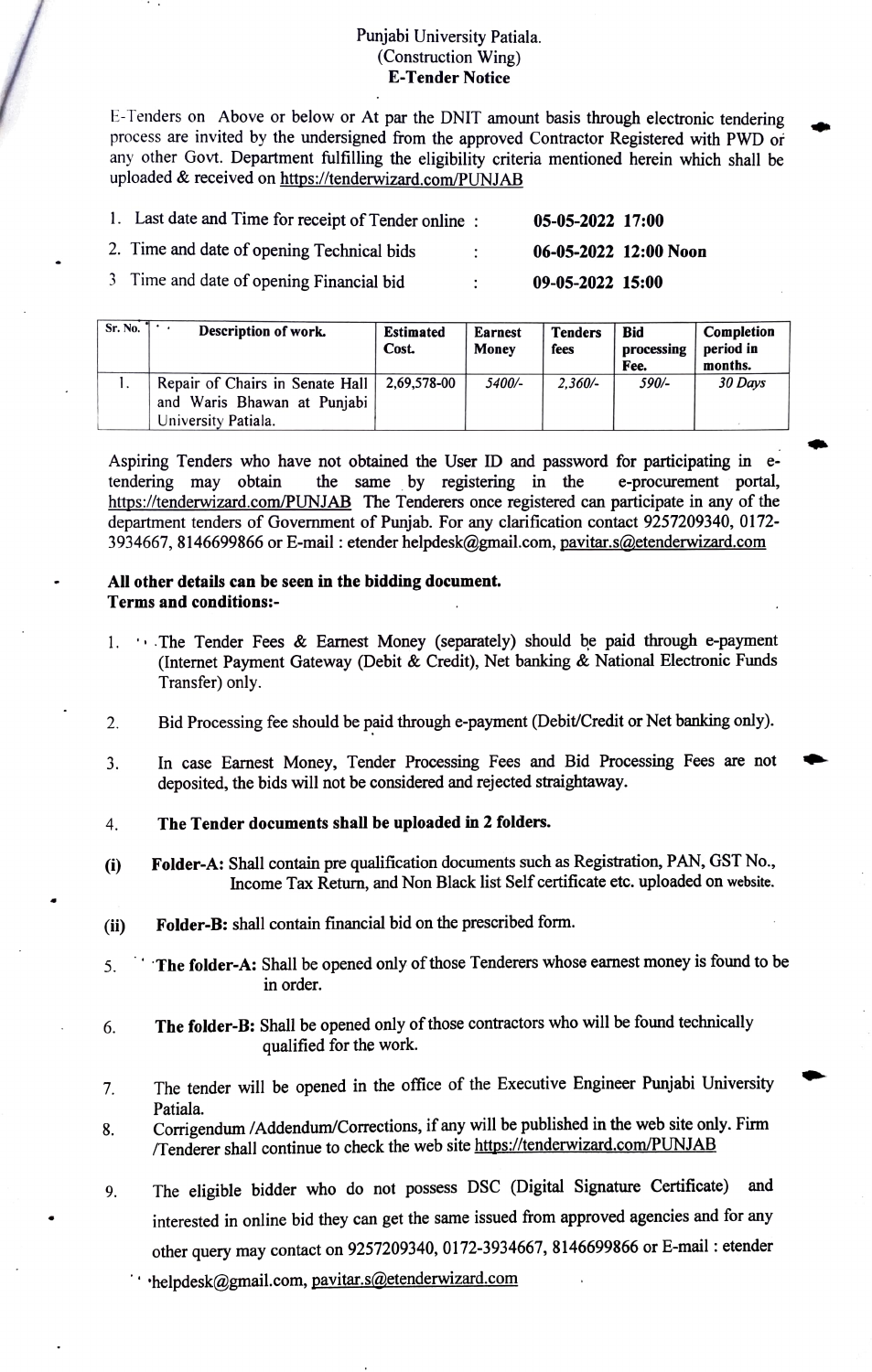## Punjabi University Patiala. (Construction Wing) E-Tender Notice

E-Tenders on Above or below or At par the DNIT amount basis through electronic tendering process are invited by the undersigned from the approved Contractor Registered with PWD or any other Govt. Department fulfilling the eligibility criteria mentioned herein which shall be uploaded & received on https://tenderwizard.com/PUNJAB

| 1. Last date and Time for receipt of Tender online: |                | $05-05-2022$ 17:00    |  |
|-----------------------------------------------------|----------------|-----------------------|--|
| 2. Time and date of opening Technical bids          | $\mathbb{R}^n$ | 06-05-2022 12:00 Noon |  |
| 3 Time and date of opening Financial bid            | $\bullet$      | 09-05-2022 15:00      |  |

| Sr. No. | Description of work.                                                                  | <b>Estimated</b><br>Cost. | <b>Earnest</b><br>Money | <b>Tenders</b><br>fees | <b>Bid</b><br>processing<br>Fee. | Completion<br>period in<br>months. |
|---------|---------------------------------------------------------------------------------------|---------------------------|-------------------------|------------------------|----------------------------------|------------------------------------|
|         | Repair of Chairs in Senate Hall<br>and Waris Bhawan at Punjabi<br>University Patiala. | 2.69.578-00               | 5400/-                  | $2.360/-$              | 590/-                            | 30 Days                            |

Aspiring Tenders who have not obtained the User ID and password for participating in e tendering may obtain https://tenderwizard.com/PUNJAB The Tenderers once registered can participate in any of the department tenders of Government of Punjab. For any clarification contact 9257209340, 0172- 3934667, 8146699866 or E-mail : etender helpdesk@gmail.com, pavitar.s@etenderwizard.com the same by registering in the e-procurement portal,

## All other details can be seen in the bidding document. Terms and conditions:

- 1. The Tender Fees & Earnest Money (separately) should be paid through e-payment (Internet Payment Gateway (Debit & Credit), Net banking & National Electronic Funds Transfer) only.
- 2. Bid Processing fee should be paid through e-payment (Debit/Credit or Net banking only).
- In case Earnest Money, Tender Processing Fees and Bid Processing Fees are not deposited, the bids will not be considered and rejected straightaway. 3.
- 4. The Tender documents shall be uploaded in 2 folders.
- Folder-A: Shall contain pre qualification documents such as Registration, PAN, GST No., (i) Folder-A: Shall contain pre qualification documents such as Registration, PAN, GST No.,<br>Income Tax Return, and Non Black list Self certificate etc. uploaded on website.
- i) Folder-B: shall contain financial bid on the prescribed form.
- 5. The folder-A: Shall be opened only of those Tenderers whose earnest money is found to be in order.
- 6. The folder-B: Shall be opened only of those contractors who will be found technically qualified for the work.
- The tender will be opened in the office of the Executive Engineer Punjabi University . Patiala.
- Corrigendum /Addendum/Corrections, if any will be published in the web site only. Firm Tenderer shall continue to check the web site https://tenderwizard.com/PUNJAB 8.
- 9. The eligible bidder who do not possess DSC (Digital Signature Certificate) and interested in online bid they can get the same issued from approved agencies and for any other query may contact on 9257209340, 0172-3934667, 8146699866 or E-mail: etender
	- ·helpdesk@gmail.com, pavitar.s@etenderwizard.com